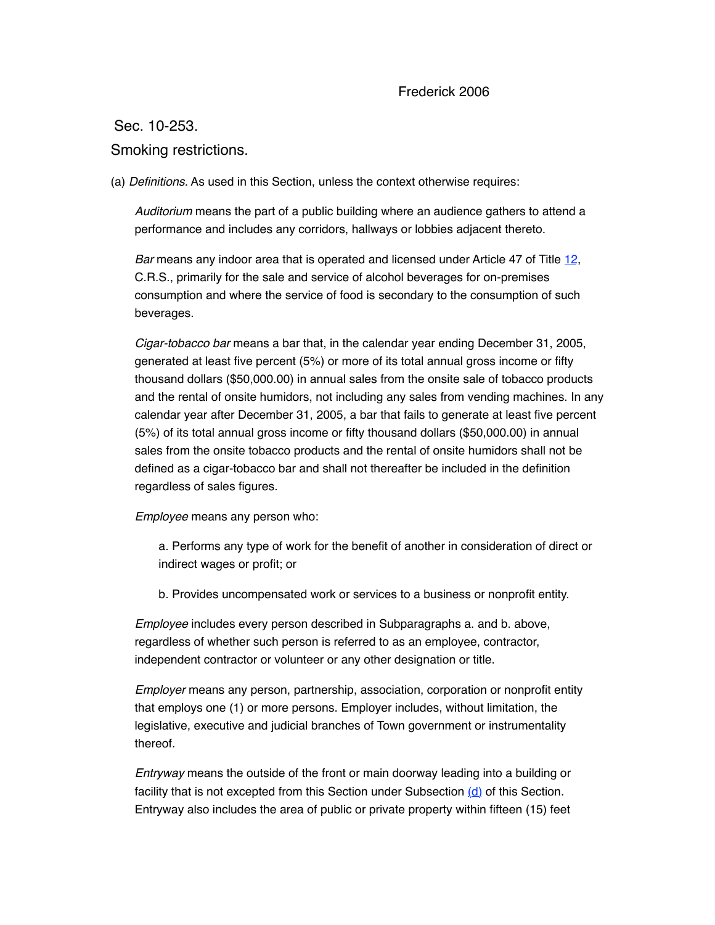### Frederick 2006

Sec. 10-253.

## Smoking restrictions.

(a) *Definitions.* As used in this Section, unless the context otherwise requires:

*Auditorium* means the part of a public building where an audience gathers to attend a performance and includes any corridors, hallways or lobbies adjacent thereto.

*Bar* means any indoor area that is operated and licensed under Article 47 of Title [12,](https://frederick.municipal.codes/CO/CRS/12) C.R.S., primarily for the sale and service of alcohol beverages for on-premises consumption and where the service of food is secondary to the consumption of such beverages.

*Cigar-tobacco bar* means a bar that, in the calendar year ending December 31, 2005, generated at least five percent (5%) or more of its total annual gross income or fifty thousand dollars (\$50,000.00) in annual sales from the onsite sale of tobacco products and the rental of onsite humidors, not including any sales from vending machines. In any calendar year after December 31, 2005, a bar that fails to generate at least five percent (5%) of its total annual gross income or fifty thousand dollars (\$50,000.00) in annual sales from the onsite tobacco products and the rental of onsite humidors shall not be defined as a cigar-tobacco bar and shall not thereafter be included in the definition regardless of sales figures.

*Employee* means any person who:

a. Performs any type of work for the benefit of another in consideration of direct or indirect wages or profit; or

b. Provides uncompensated work or services to a business or nonprofit entity.

*Employee* includes every person described in Subparagraphs a. and b. above, regardless of whether such person is referred to as an employee, contractor, independent contractor or volunteer or any other designation or title.

*Employer* means any person, partnership, association, corporation or nonprofit entity that employs one (1) or more persons. Employer includes, without limitation, the legislative, executive and judicial branches of Town government or instrumentality thereof.

*Entryway* means the outside of the front or main doorway leading into a building or facility that is not excepted from this Section under Subsection [\(d\)](%5Cl%20%2210-253(d)%22) of this Section. Entryway also includes the area of public or private property within fifteen (15) feet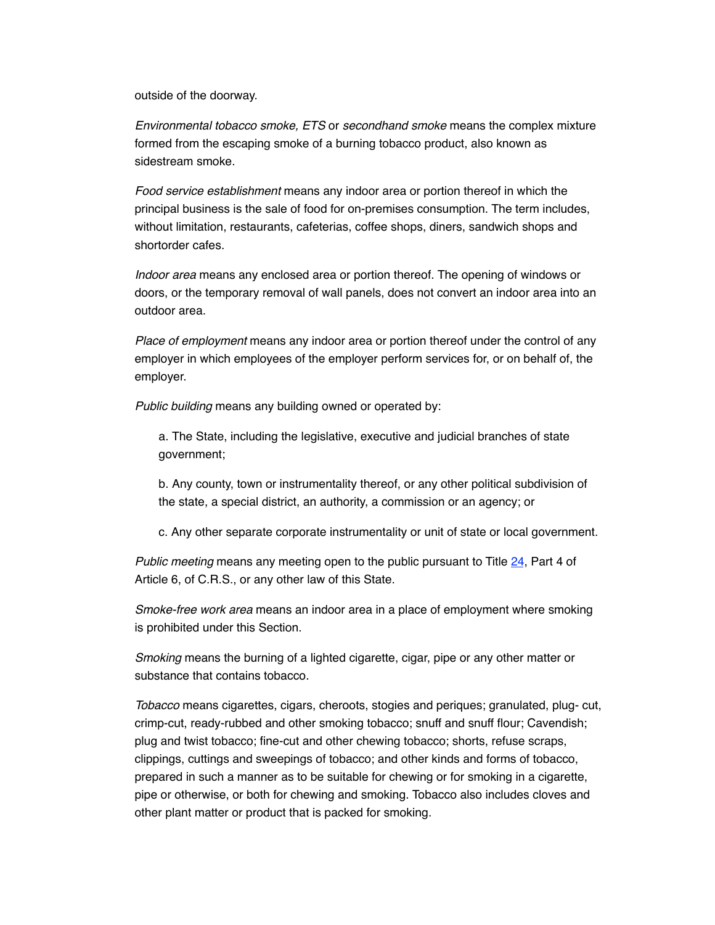outside of the doorway.

*Environmental tobacco smoke, ETS* or *secondhand smoke* means the complex mixture formed from the escaping smoke of a burning tobacco product, also known as sidestream smoke.

*Food service establishment* means any indoor area or portion thereof in which the principal business is the sale of food for on-premises consumption. The term includes, without limitation, restaurants, cafeterias, coffee shops, diners, sandwich shops and shortorder cafes.

*Indoor area* means any enclosed area or portion thereof. The opening of windows or doors, or the temporary removal of wall panels, does not convert an indoor area into an outdoor area.

*Place of employment* means any indoor area or portion thereof under the control of any employer in which employees of the employer perform services for, or on behalf of, the employer.

*Public building* means any building owned or operated by:

a. The State, including the legislative, executive and judicial branches of state government;

b. Any county, town or instrumentality thereof, or any other political subdivision of the state, a special district, an authority, a commission or an agency; or

c. Any other separate corporate instrumentality or unit of state or local government.

*Public meeting* means any meeting open to the public pursuant to Title [24](https://frederick.municipal.codes/CO/CRS/24), Part 4 of Article 6, of C.R.S., or any other law of this State.

*Smoke-free work area* means an indoor area in a place of employment where smoking is prohibited under this Section.

*Smoking* means the burning of a lighted cigarette, cigar, pipe or any other matter or substance that contains tobacco.

*Tobacco* means cigarettes, cigars, cheroots, stogies and periques; granulated, plug- cut, crimp-cut, ready-rubbed and other smoking tobacco; snuff and snuff flour; Cavendish; plug and twist tobacco; fine-cut and other chewing tobacco; shorts, refuse scraps, clippings, cuttings and sweepings of tobacco; and other kinds and forms of tobacco, prepared in such a manner as to be suitable for chewing or for smoking in a cigarette, pipe or otherwise, or both for chewing and smoking. Tobacco also includes cloves and other plant matter or product that is packed for smoking.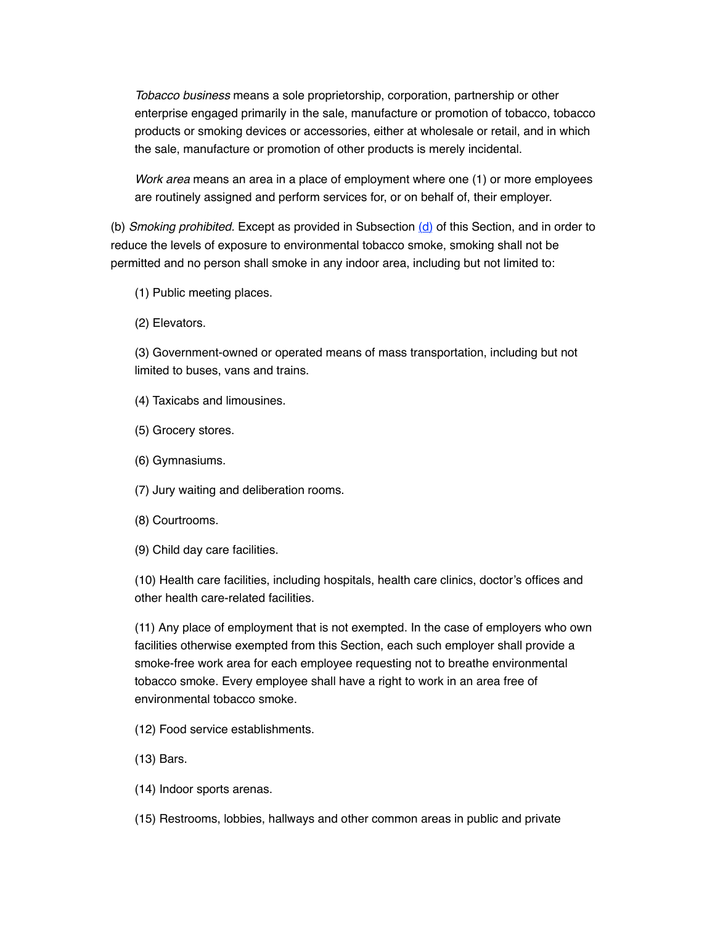*Tobacco business* means a sole proprietorship, corporation, partnership or other enterprise engaged primarily in the sale, manufacture or promotion of tobacco, tobacco products or smoking devices or accessories, either at wholesale or retail, and in which the sale, manufacture or promotion of other products is merely incidental.

*Work area* means an area in a place of employment where one (1) or more employees are routinely assigned and perform services for, or on behalf of, their employer.

(b) *Smoking prohibited.* Except as provided in Subsection [\(d\)](%5Cl%20%2210-253(d)%22) of this Section, and in order to reduce the levels of exposure to environmental tobacco smoke, smoking shall not be permitted and no person shall smoke in any indoor area, including but not limited to:

- (1) Public meeting places.
- (2) Elevators.

(3) Government-owned or operated means of mass transportation, including but not limited to buses, vans and trains.

- (4) Taxicabs and limousines.
- (5) Grocery stores.
- (6) Gymnasiums.
- (7) Jury waiting and deliberation rooms.
- (8) Courtrooms.
- (9) Child day care facilities.

(10) Health care facilities, including hospitals, health care clinics, doctor's offices and other health care-related facilities.

(11) Any place of employment that is not exempted. In the case of employers who own facilities otherwise exempted from this Section, each such employer shall provide a smoke-free work area for each employee requesting not to breathe environmental tobacco smoke. Every employee shall have a right to work in an area free of environmental tobacco smoke.

- (12) Food service establishments.
- (13) Bars.
- (14) Indoor sports arenas.
- (15) Restrooms, lobbies, hallways and other common areas in public and private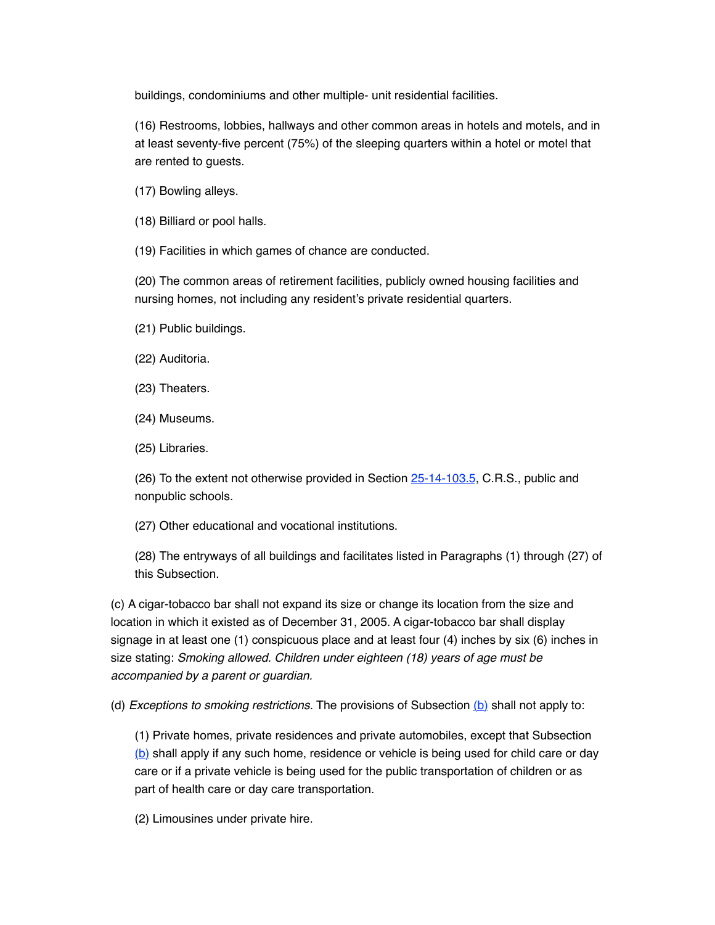buildings, condominiums and other multiple- unit residential facilities.

(16) Restrooms, lobbies, hallways and other common areas in hotels and motels, and in at least seventy-five percent (75%) of the sleeping quarters within a hotel or motel that are rented to guests.

(17) Bowling alleys.

(18) Billiard or pool halls.

(19) Facilities in which games of chance are conducted.

(20) The common areas of retirement facilities, publicly owned housing facilities and nursing homes, not including any resident's private residential quarters.

- (21) Public buildings.
- (22) Auditoria.
- (23) Theaters.
- (24) Museums.
- (25) Libraries.

(26) To the extent not otherwise provided in Section [25-14-103.5,](https://frederick.municipal.codes/CO/CRS/25-14-103.5) C.R.S., public and nonpublic schools.

(27) Other educational and vocational institutions.

(28) The entryways of all buildings and facilitates listed in Paragraphs (1) through (27) of this Subsection.

(c) A cigar-tobacco bar shall not expand its size or change its location from the size and location in which it existed as of December 31, 2005. A cigar-tobacco bar shall display signage in at least one (1) conspicuous place and at least four (4) inches by six (6) inches in size stating: *Smoking allowed. Children under eighteen (18) years of age must be accompanied by a parent or guardian.*

(d) *Exceptions to smoking restrictions*. The provisions of Subsection [\(b\)](%5Cl%20%2210-253(b)%22) shall not apply to:

(1) Private homes, private residences and private automobiles, except that Subsection [\(b\)](%5Cl%20%2210-253(b)%22) shall apply if any such home, residence or vehicle is being used for child care or day care or if a private vehicle is being used for the public transportation of children or as part of health care or day care transportation.

(2) Limousines under private hire.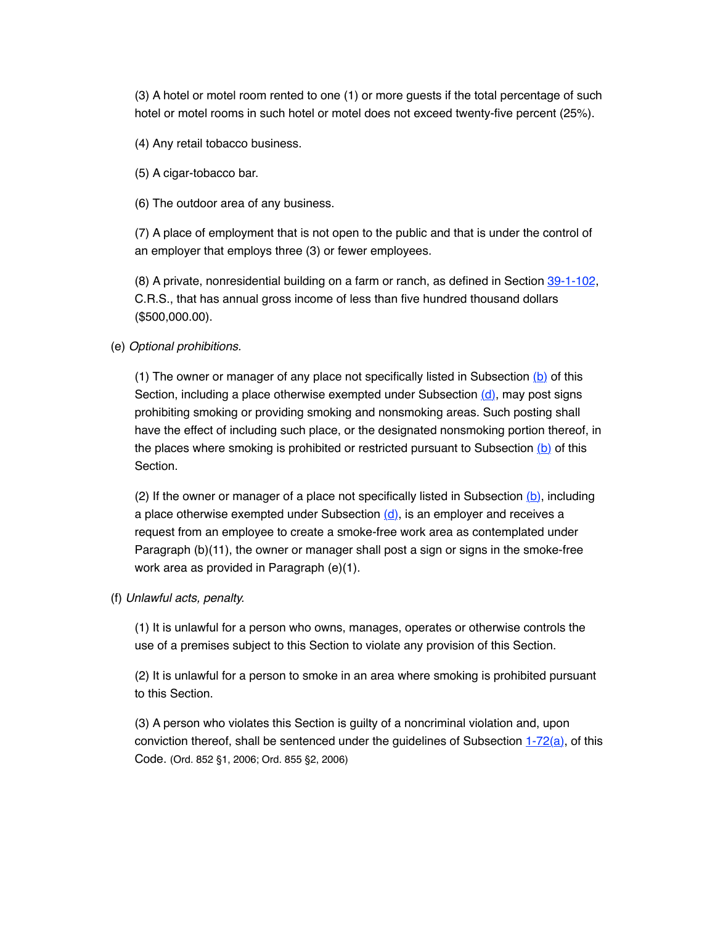(3) A hotel or motel room rented to one (1) or more guests if the total percentage of such hotel or motel rooms in such hotel or motel does not exceed twenty-five percent (25%).

(4) Any retail tobacco business.

(5) A cigar-tobacco bar.

(6) The outdoor area of any business.

(7) A place of employment that is not open to the public and that is under the control of an employer that employs three (3) or fewer employees.

(8) A private, nonresidential building on a farm or ranch, as defined in Section [39-1-102](https://frederick.municipal.codes/CO/CRS/39-1-102), C.R.S., that has annual gross income of less than five hundred thousand dollars (\$500,000.00).

#### (e) *Optional prohibitions.*

(1) The owner or manager of any place not specifically listed in Subsection  $(b)$  of this Section, including a place otherwise exempted under Subsection  $(d)$ , may post signs prohibiting smoking or providing smoking and nonsmoking areas. Such posting shall have the effect of including such place, or the designated nonsmoking portion thereof, in the places where smoking is prohibited or restricted pursuant to Subsection  $(b)$  of this Section.

(2) If the owner or manager of a place not specifically listed in Subsection  $(b)$ , including a place otherwise exempted under Subsection  $(d)$ , is an employer and receives a request from an employee to create a smoke-free work area as contemplated under Paragraph (b)(11), the owner or manager shall post a sign or signs in the smoke-free work area as provided in Paragraph (e)(1).

#### (f) *Unlawful acts, penalty.*

(1) It is unlawful for a person who owns, manages, operates or otherwise controls the use of a premises subject to this Section to violate any provision of this Section.

(2) It is unlawful for a person to smoke in an area where smoking is prohibited pursuant to this Section.

(3) A person who violates this Section is guilty of a noncriminal violation and, upon conviction thereof, shall be sentenced under the guidelines of Subsection [1-72\(a\)](https://frederick.municipal.codes/MC/1-72(a)), of this Code. (Ord. 852 §1, 2006; Ord. 855 §2, 2006)